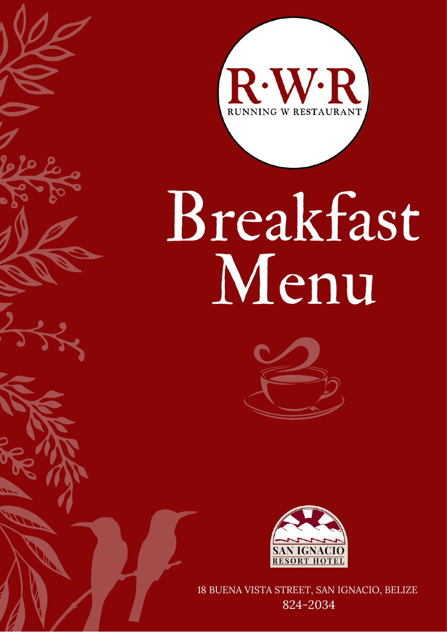

# Breakfast Menu





18 BUENA VISTA STREET, SAN IGNACIO, BELIZE 824-2034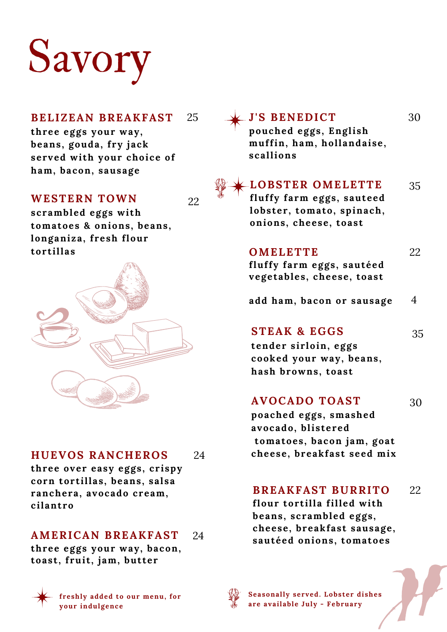## Savory

#### **BELIZEAN BREAKFAST** 25

**three eggs your way, beans, gouda, fry jack served wi th your choice of ham, bacon, sausage**

#### **WESTERN TOWN**

22

**scrambled eggs wi th tomatoes & onions, beans, longaniza, fresh flour tort illas**



#### **HUEVOS RANCHEROS** 24

**three over easy eggs, crispy corn tort illas, beans, salsa ranchera, avocado cream, cilantro**

#### **AMERICAN BREAKFAST** 24

**three eggs your way, bacon, toast , frui t , jam, but ter**



**freshly added to our menu, for your indulgence**



**Seasonally served. Lobster dishes are available July - February**

30

**pouched eggs, English muffin, ham, hollandaise, scallions**

**J 'S BENEDICT**

**LOBSTER OMELETTE** 35 **fluffy farm eggs, sauteed lobster, tomato, spinach, onions, cheese, toast**

### **OMELETTE**

**fluffy farm eggs, sautéed vegetables, cheese, toast**

**add ham, bacon or sausage** 4

### **STEAK & EGGS**

35

22

**tender sirloin, eggs cooked your way, beans, hash browns, toast**

### **AVOCADO TOAST**

30

**poached eggs, smashed avocado, blistered tomatoes, bacon jam, goat cheese, breakfast seed mix**

#### **BREAKFAST BURRITO** 22

**flour tort illa filled wi th beans, scrambled eggs, cheese, breakfast sausage, sautéed onions, tomatoes**